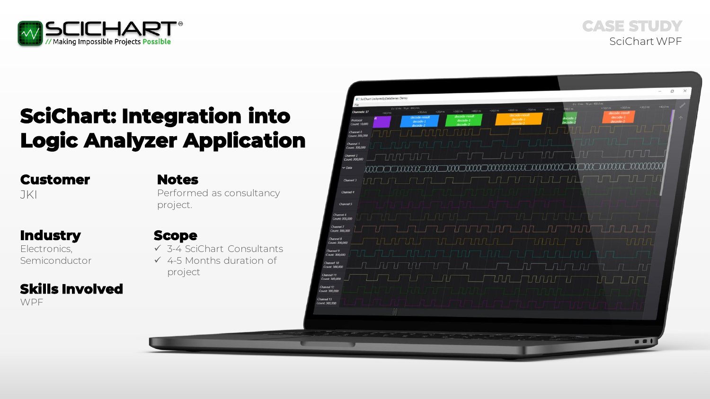

# **SciChart: Integration into Logic Analyzer Application**

**Customer** JKI **Notes** Performed as consultancy project.

**Industry** Electronics, Semiconductor

# **Skills Involved**

**WPF** 

**Scope** ✓ 3-4 SciChart Consultants  $\times$  4-5 Months duration of

project

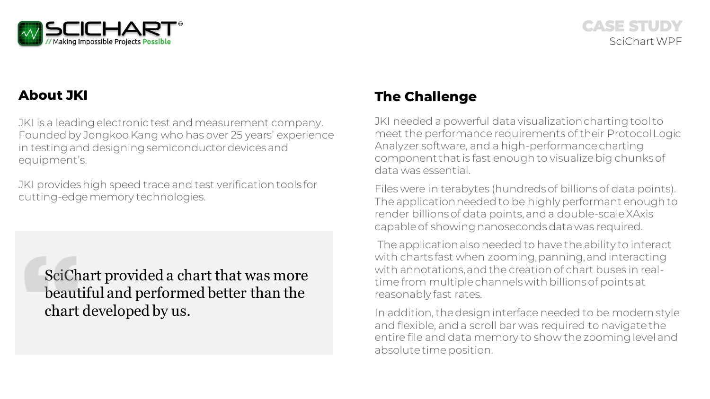

## **About JKI**

JKI is a leading electronic test and measurement company. Founded by Jongkoo Kang who has over 25 years' experience in testing and designing semiconductor devices and equipment's.

JKI provides high speed trace and test verification tools for cutting-edge memory technologies.

SciChart provided a chart that was more beautiful and performed better than the chart developed by us.

## **The Challenge**

JKI needed a powerful data visualization charting tool to meet the performance requirements of their Protocol Logic Analyzer software, and a high-performance charting component that is fast enough to visualize big chunks of data was essential.

Files were in terabytes (hundreds of billions of data points). The application needed to be highly performant enough to render billions of data points, and a double-scale XAxis capable of showing nanoseconds data was required.

The application also needed to have the ability to interact with charts fast when zooming, panning, and interacting with annotations, and the creation of chart buses in realtime from multiple channels with billions of points at reasonably fast rates.

In addition, the design interface needed to be modern style and flexible, and a scroll bar was required to navigate the entire file and data memory to show the zooming level and absolute time position.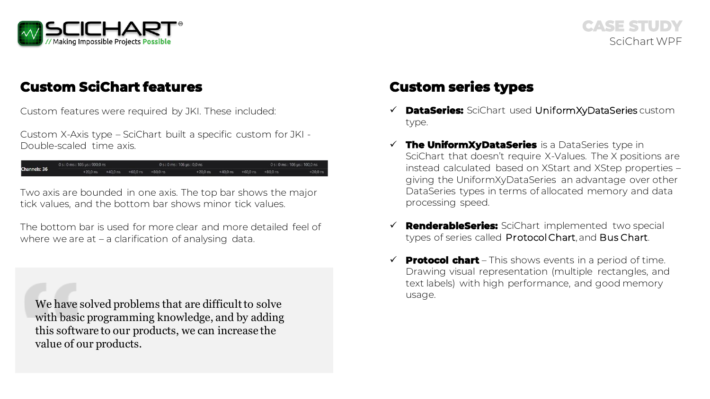

## **Custom SciChart features Custom series types**

Custom features were required by JKI. These included:

Custom X-Axis type – SciChart built a specific custom for JKI - Double-scaled time axis.

0 s : 0 ms : 105 us : 900,0 ns 0 s: 0 ms: 106 us: 0,0 ns 0 s : 0 ms : 106 us : 100,0 ns hannels: 36 +20,0 ns +40,0 ns +60,0 ns +80,0 ns  $+20.0$  ns  $+40.0$  ns  $+60.0$  ns

Two axis are bounded in one axis. The top bar shows the major tick values, and the bottom bar shows minor tick values.

The bottom bar is used for more clear and more detailed feel of where we are at – a clarification of analysing data.

We have solved problems that are difficult to solve with basic programming knowledge, and by adding this software to our products, we can increase the value of our products.

- ✓ **DataSeries:** SciChart used UniformXyDataSeries custom type.
- ✓ **The UniformXyDataSeries** is a DataSeries type in SciChart that doesn't require X-Values. The X positions are instead calculated based on XStart and XStep properties – giving the UniformXyDataSeries an advantage over other DataSeries types in terms of allocated memory and data processing speed.
- **RenderableSeries:** SciChart implemented two special types of series called Protocol Chart, and Bus Chart.
- $\checkmark$  **Protocol chart** This shows events in a period of time. Drawing visual representation (multiple rectangles, and text labels) with high performance, and good memory usage.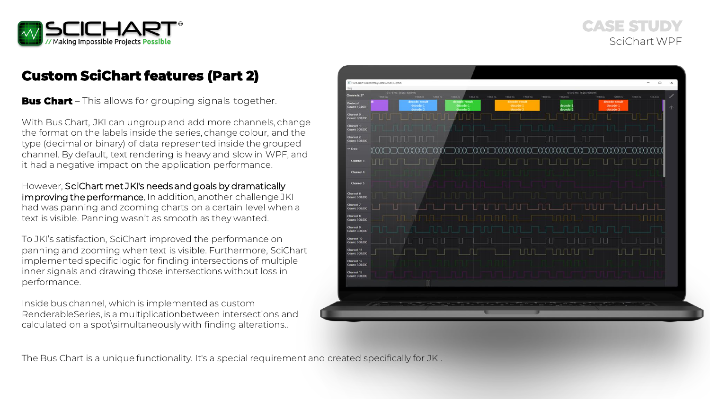

## **Custom SciChart features (Part 2)**

**Bus Chart** – This allows for grouping signals together.

With Bus Chart, JKI can ungroup and add more channels, change the format on the labels inside the series, change colour, and the type (decimal or binary) of data represented inside the grouped channel. By default, text rendering is heavy and slow in WPF, and it had a negative impact on the application performance.

However, SciChart met JKI's needs and goals by dramatically improving the performance. In addition, another challenge JKI had was panning and zooming charts on a certain level when a text is visible. Panning wasn't as smooth as they wanted.

To JKI's satisfaction, SciChart improved the performance on panning and zooming when text is visible. Furthermore, SciChart implemented specific logic for finding intersections of multiple inner signals and drawing those intersections without loss in performance.

Inside bus channel, which is implemented as custom RenderableSeries, is a multiplicationbetween intersections and calculated on a spot\simultaneously with finding alterations..



The Bus Chart is a unique functionality. It's a special requirement and created specifically for JKI.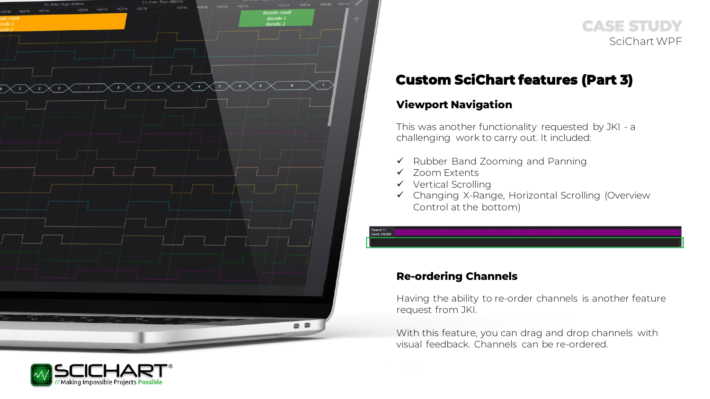



## **Custom SciChart features (Part 3)**

#### **Viewport Navigation**

This was another functionality requested by JKI - a challenging work to carry out. It included:

- ✓ Rubber Band Zooming and Panning
- ✓ Zoom Extents

Channel 13 ount: 300,000

- ✓ Vertical Scrolling
- ✓ Changing X-Range, Horizontal Scrolling (Overview Control at the bottom)

#### **Re-ordering Channels**

Having the ability to re-order channels is another feature request from JKI.

With this feature, you can drag and drop channels with visual feedback. Channels can be re-ordered.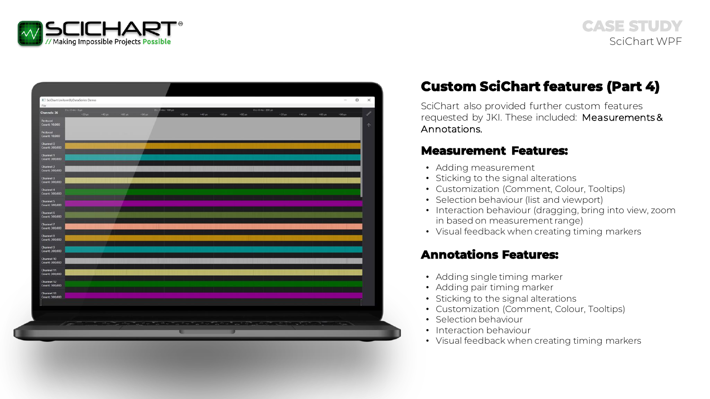

| SciChart UniformXyDataSeries Demo<br>File |                                                                                                                |                                               |                     |                           |                           |               |                                                                                                               |                           |             |                     | $\overline{\phantom{a}}$ | $\Box$<br>$\times$ |
|-------------------------------------------|----------------------------------------------------------------------------------------------------------------|-----------------------------------------------|---------------------|---------------------------|---------------------------|---------------|---------------------------------------------------------------------------------------------------------------|---------------------------|-------------|---------------------|--------------------------|--------------------|
| 01:0mm : 0pm<br><b>Channels: 36</b>       | $+40$ in<br>$+20 \,\mu$ s                                                                                      | $+60 \text{ µm}$<br>$+80 \text{ }\mu\text{s}$ | 0 s : 0 ms : 100 ps | $+20 \text{ }\mu\text{s}$ | $+40 \text{ }\mu\text{s}$ | $+60 \,\mu s$ | 01:0ms:200 µs<br>$+80 \,\mu s$                                                                                | $+20 \text{ }\mu\text{s}$ | $+40 \mu s$ | $+60 \,\mathrm{ps}$ | $+80 \,\mu s$            | ℐ                  |
| Protocol                                  |                                                                                                                |                                               |                     |                           |                           |               |                                                                                                               |                           |             |                     |                          |                    |
| Count: 10,000<br>Protocol                 |                                                                                                                |                                               |                     |                           |                           |               |                                                                                                               |                           |             |                     |                          | 小                  |
| Count: 10,000                             |                                                                                                                |                                               |                     |                           |                           |               |                                                                                                               |                           |             |                     |                          |                    |
| Channel 0<br>Count: 300,000               |                                                                                                                |                                               |                     |                           |                           |               |                                                                                                               |                           |             |                     |                          |                    |
| Channel 1<br>Count: 300,000               |                                                                                                                |                                               |                     |                           |                           |               |                                                                                                               |                           |             |                     |                          |                    |
| Channel 2<br>Count: 300,000               |                                                                                                                |                                               |                     |                           |                           |               |                                                                                                               |                           |             |                     |                          |                    |
| <b>Channel 3</b><br>Count: 300,000        |                                                                                                                |                                               |                     |                           |                           |               |                                                                                                               |                           |             |                     |                          |                    |
| Channel 4                                 |                                                                                                                |                                               |                     |                           |                           |               |                                                                                                               |                           |             |                     |                          |                    |
| Count: 300,000<br>Channel 5               |                                                                                                                |                                               |                     |                           |                           |               |                                                                                                               |                           |             |                     |                          |                    |
| Count: 300,000                            |                                                                                                                |                                               |                     |                           |                           |               |                                                                                                               |                           |             |                     |                          |                    |
| Channel 6<br>Count: 300,000               |                                                                                                                |                                               |                     |                           |                           |               |                                                                                                               |                           |             |                     |                          |                    |
| Channel 7<br>Count: 300,000               |                                                                                                                |                                               |                     |                           |                           |               |                                                                                                               |                           |             |                     |                          |                    |
| Channel 8<br>Count: 300,000               |                                                                                                                |                                               |                     |                           |                           |               |                                                                                                               |                           |             |                     |                          |                    |
| Channel 9                                 |                                                                                                                |                                               |                     |                           |                           |               |                                                                                                               |                           |             |                     |                          |                    |
| Count: 300,000<br>Channel 10              |                                                                                                                |                                               |                     |                           |                           |               |                                                                                                               |                           |             |                     |                          |                    |
| Count: 300,000                            |                                                                                                                |                                               |                     |                           |                           |               |                                                                                                               |                           |             |                     |                          |                    |
| Channel 11<br>Count: 300,000              |                                                                                                                |                                               |                     |                           |                           |               |                                                                                                               |                           |             |                     |                          |                    |
| Channel 12<br>Count: 300,000              |                                                                                                                |                                               |                     |                           |                           |               |                                                                                                               |                           |             |                     |                          |                    |
| Channel 13<br>Count: 300,000              |                                                                                                                |                                               |                     |                           |                           |               |                                                                                                               |                           |             |                     |                          |                    |
|                                           |                                                                                                                |                                               |                     |                           |                           |               |                                                                                                               |                           |             |                     |                          |                    |
|                                           |                                                                                                                |                                               |                     |                           |                           |               |                                                                                                               |                           |             |                     |                          |                    |
|                                           | and the first of the control of the control of the control of the control of the control of the control of the |                                               |                     |                           |                           |               | a sa masa na kating atao ni dan sa mga barang na mga sangang ng mga sangang ng mga maganggay ng mga maganggay |                           |             |                     | <b>CONTRACTOR</b>        |                    |
|                                           |                                                                                                                |                                               |                     |                           |                           |               |                                                                                                               |                           |             |                     |                          |                    |

## **Custom SciChart features (Part 4)**

SciChart also provided further custom features requested by JKI. These included: Measurements & Annotations.

#### **Measurement Features:**

- Adding measurement
- Sticking to the signal alterations
- Customization (Comment, Colour, Tooltips)
- Selection behaviour (list and viewport)
- Interaction behaviour (dragging, bring into view, zoom in based on measurement range)
- Visual feedback when creating timing markers

#### **Annotations Features:**

- Adding single timing marker
- Adding pair timing marker
- Sticking to the signal alterations
- Customization (Comment, Colour, Tooltips)
- Selection behaviour
- Interaction behaviour
- Visual feedback when creating timing markers